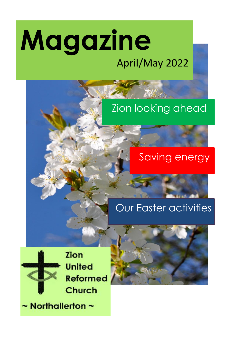# **Magazine** April/May 2022

# Zion looking ahead

## Saving energy

## Our Easter activities



**Zion United Reformed** Church

 $\sim$  Northallerton  $\sim$ 

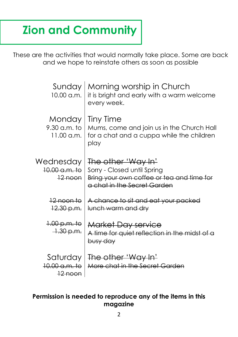# **Zion and Community**

These are the activities that would normally take place. Some are back and we hope to reinstate others as soon as possible

| Sunday<br>10.00 a.m.                                       | Morning worship in Church<br>it is bright and early with a warm welcome<br>every week.                                        |
|------------------------------------------------------------|-------------------------------------------------------------------------------------------------------------------------------|
| Monday<br>9.30 a.m. to<br>$11.00$ a.m.                     | Tiny Time<br>Mums, come and join us in the Church Hall<br>for a chat and a cuppa while the children<br>play                   |
| Wednesday<br>$10.00$ a.m. to<br>$12$ noon                  | The other 'Way In'<br>Sorry - Closed until Spring<br>Bring your own coffee or tea and time for<br>a chat in the Secret Garden |
| <u> 12 noon to</u><br>12.30 p.m.                           | A chance to sit and eat your packed<br>lunch warm and dry                                                                     |
| <del>1.00 p.m. to</del><br>$-1.30$ p.m.                    | Market Day service<br>A time for quiet reflection in the midst of a<br>busy day                                               |
| Saturday<br><del>10.00 a.m. to</del><br><del>12 noon</del> | The other 'Way In'<br>More chat in the Secret Garden                                                                          |

#### **Permission is needed to reproduce any of the items in this magazine**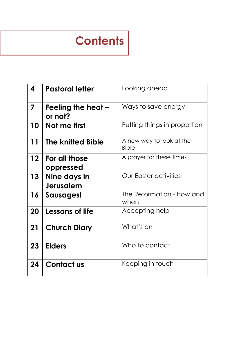# **Contents**

| 4               | <b>Pastoral letter</b>           | Looking ahead                            |
|-----------------|----------------------------------|------------------------------------------|
| 7               | Feeling the heat -<br>or not?    | Ways to save energy                      |
| 10              | Not me first                     | Putting things in proportion             |
| 11              | The knitted Bible                | A new way to look at the<br><b>Bible</b> |
| 12 <sup>°</sup> | For all those<br>oppressed       | A prayer for these times                 |
| 13              | Nine days in<br><b>Jerusalem</b> | <b>Our Easter activities</b>             |
| 16              | Sausages!                        | The Reformation - how and<br>when        |
| 20              | Lessons of life                  | Accepting help                           |
| 21              | <b>Church Diary</b>              | What's on                                |
| 23              | <b>Elders</b>                    | Who to contact                           |
| 24              | <b>Contact us</b>                | Keeping in touch                         |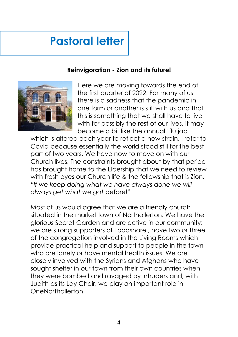# **Pastoral letter**

### **Reinvigoration - Zion and its future!**



Here we are moving towards the end of the first quarter of 2022. For many of us there is a sadness that the pandemic in one form or another is still with us and that this is something that we shall have to live with for possibly the rest of our lives. it may become a bit like the annual 'flu jab

which is altered each year to reflect a new strain. I refer to Covid because essentially the world stood still for the best part of two years. We have now to move on with our Church lives. The constraints brought about by that period has brought home to the Eldership that we need to review with fresh eyes our Church life & the fellowship that is Zion. "*If we keep doing what we have always done we will always get what we got* before!"

Most of us would agree that we are a friendly church situated in the market town of Northallerton. We have the glorious Secret Garden and are active in our community: we are strong supporters of Foodshare , have two or three of the congregation involved in the Living Rooms which provide practical help and support to people in the town who are lonely or have mental health issues. We are closely involved with the Syrians and Afghans who have sought shelter in our town from their own countries when they were bombed and ravaged by intruders and, with Judith as its Lay Chair, we play an important role in OneNorthallerton.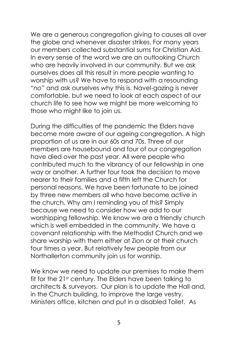We are a generous congregation giving to causes all over the globe and whenever disaster strikes. For many years our members collected substantial sums for Christian Aid. In every sense of the word we are an outlooking Church who are heavily involved in our community. But we ask ourselves does all this result in more people wanting to worship with us? We have to respond with a resounding "*no*" and ask ourselves why this is. Navel-gazing is never comfortable, but we need to look at each aspect of our church life to see how we might be more welcoming to those who might like to join us.

During the difficulties of the pandemic the Elders have become more aware of our ageing congregation. A high proportion of us are in our 60s and 70s. Three of our members are housebound and four of our congregation have died over the past year. All were people who contributed much to the vibrancy of our fellowship in one way or another. A further four took the decision to move nearer to their families and a fifth left the Church for personal reasons. We have been fortunate to be joined by three new members all who have become active in the church. Why am I reminding you of this? Simply because we need to consider how we add to our worshipping fellowship. We know we are a friendly church which is well embedded in the community. We have a covenant relationship with the Methodist Church and we share worship with them either at Zion or at their church four times a year. But relatively few people from our Northallerton community join us for worship.

We know we need to update our premises to make them fit for the 21st century. The Elders have been talking to architects & surveyors. Our plan is to update the Hall and, in the Church building, to improve the large vestry, Ministers office, kitchen and put in a disabled Toilet. As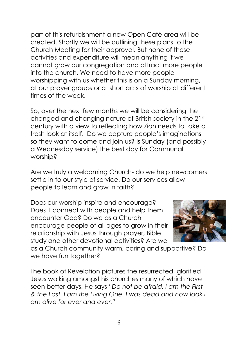part of this refurbishment a new Open Café area will be created. Shortly we will be outlining these plans to the Church Meeting for their approval. But none of these activities and expenditure will mean anything if we cannot grow our congregation and attract more people into the church. We need to have more people worshipping with us whether this is on a Sunday morning, at our prayer groups or at short acts of worship at different times of the week.

So, over the next few months we will be considering the changed and changing nature of British society in the 21st century with a view to reflecting how Zion needs to take a fresh look at itself. Do we capture people's imaginations so they want to come and join us? Is Sunday (and possibly a Wednesday service) the best day for Communal worship?

Are we truly a welcoming Church- do we help newcomers settle in to our style of service. Do our services allow people to learn and grow in faith?

Does our worship inspire and encourage? Does it connect with people and help them encounter God? Do we as a Church encourage people of all ages to grow in their relationship with Jesus through prayer, Bible study and other devotional activities? Are we



as a Church community warm, caring and supportive? Do we have fun together?

The book of Revelation pictures the resurrected, glorified Jesus walking amongst his churches many of which have seen better days. He says "*Do not be afraid. I am the First & the Last. I am the Living One. I was dead and now look I am alive for ever and ever."*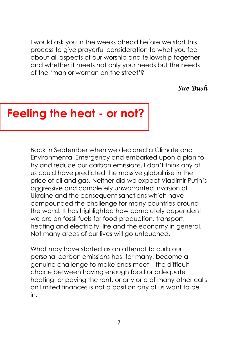I would ask you in the weeks ahead before we start this process to give prayerful consideration to what you feel about all aspects of our worship and fellowship together and whether it meets not only your needs but the needs of the 'man or woman on the street'?

### *Sue Bush*

## **Feeling the heat - or not?**

Back in September when we declared a Climate and Environmental Emergency and embarked upon a plan to try and reduce our carbon emissions, I don't think any of us could have predicted the massive global rise in the price of oil and gas. Neither did we expect Vladimir Putin's aggressive and completely unwarranted invasion of Ukraine and the consequent sanctions which have compounded the challenge for many countries around the world. It has highlighted how completely dependent we are on fossil fuels for food production, transport, heating and electricity, life and the economy in general. Not many areas of our lives will go untouched.

What may have started as an attempt to curb our personal carbon emissions has, for many, become a genuine challenge to make ends meet – the difficult choice between having enough food or adequate heating, or paying the rent, or any one of many other calls on limited finances is not a position any of us want to be in.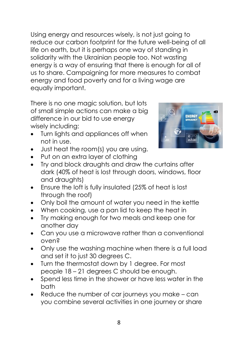Using energy and resources wisely, is not just going to reduce our carbon footprint for the future well-being of all life on earth, but it is perhaps one way of standing in solidarity with the Ukrainian people too. Not wasting energy is a way of ensuring that there is enough for all of us to share. Campaigning for more measures to combat energy and food poverty and for a living wage are equally important.

There is no one magic solution, but lots of small simple actions can make a big difference in our bid to use energy wisely including:

- Turn lights and appliances off when not in use.
- Just heat the room(s) you are using.
- Put on an extra layer of clothing
- Try and block draughts and draw the curtains after dark (40% of heat is lost through doors, windows, floor and draughts)
- Ensure the loft is fully insulated (25% of heat is lost through the roof)
- Only boil the amount of water you need in the kettle
- When cooking, use a pan lid to keep the heat in
- Try making enough for two meals and keep one for another day
- Can you use a microwave rather than a conventional oven?
- Only use the washing machine when there is a full load and set it to just 30 degrees C.
- Turn the thermostat down by 1 degree. For most people 18 – 21 degrees C should be enough.
- Spend less time in the shower or have less water in the bath
- Reduce the number of car journeys you make can you combine several activities in one journey or share

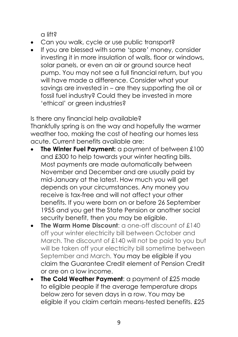a lift?

- Can you walk, cycle or use public transport?
- If you are blessed with some 'spare' money, consider investing it in more insulation of walls, floor or windows, solar panels, or even an air or ground source heat pump. You may not see a full financial return, but you will have made a difference. Consider what your savings are invested in – are they supporting the oil or fossil fuel industry? Could they be invested in more 'ethical' or green industries?

Is there any financial help available? Thankfully spring is on the way and hopefully the warmer weather too, making the cost of heating our homes less acute. Current benefits available are:

- **The Winter Fuel Payment:** a payment of between £100 and £300 to help towards your winter heating bills. Most payments are made automatically between November and December and are usually paid by mid-January at the latest. How much you will get depends on your circumstances. Any money you receive is tax-free and will not affect your other benefits. If you were born on or before 26 September 1955 and you get the State Pension or another social security benefit, then you may be eligible.
- **The Warm Home Discount:** a one-off discount of £140 off your winter electricity bill between October and March. The discount of £140 will not be paid to you but will be taken off your electricity bill sometime between September and March. You may be eligible if you claim the Guarantee Credit element of Pension Credit or are on a low income.
- **The Cold Weather Payment:** a payment of £25 made to eligible people if the average temperature drops below zero for seven days in a row. You may be eligible if you claim certain means-tested benefits. £25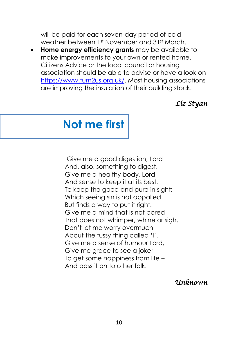will be paid for each seven-day period of cold weather between 1st November and 31st March.

• **Home energy efficiency grants** may be available to make improvements to your own or rented home. Citizens Advice or the local council or housing association should be able to advise or have a look on https://www.turn2us.org.uk/. Most housing associations are improving the insulation of their building stock.

### *Liz Styan*

# **Not me first**

Give me a good digestion, Lord And, also, something to digest. Give me a healthy body, Lord And sense to keep it at its best. To keep the good and pure in sight; Which seeing sin is not appalled But finds a way to put it right. Give me a mind that is not bored That does not whimper, whine or sigh. Don't let me worry overmuch About the fussy thing called 'I'. Give me a sense of humour Lord, Give me grace to see a joke; To get some happiness from life – And pass it on to other folk.

*Unknown*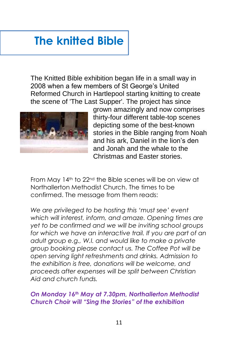# **The knitted Bible**

The Knitted Bible exhibition began life in a small way in 2008 when a few members of St George's United Reformed Church in Hartlepool starting knitting to create the scene of 'The Last Supper'. The project has since



grown amazingly and now comprises thirty-four different table-top scenes depicting some of the best-known stories in the Bible ranging from Noah and his ark, Daniel in the lion's den and Jonah and the whale to the Christmas and Easter stories.

From May 14th to 22nd the Bible scenes will be on view at Northallerton Methodist Church. The times to be confirmed. The message from them reads:

*We are privileged to be hosting this 'must see' event which will interest, inform, and amaze. Opening times are yet to be confirmed and we will be inviting school groups for which we have an interactive trail. If you are part of an adult group e.g., W.I. and would like to make a private group booking please contact us. The Coffee Pot will be open serving light refreshments and drinks. Admission to the exhibition is free, donations will be welcome, and proceeds after expenses will be split between Christian Aid and church funds.*

### *On Monday 16th May at 7.30pm, Northallerton Methodist Church Choir will "Sing the Stories" of the exhibition*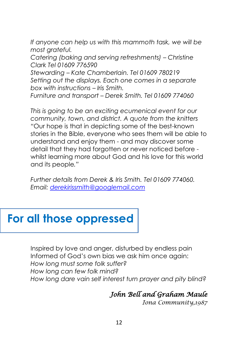*If anyone can help us with this mammoth task, we will be most grateful.*

*Catering (baking and serving refreshments) – Christine Clark Tel 01609 776590*

*Stewarding – Kate Chamberlain. Tel 01609 780219 Setting out the displays. Each one comes in a separate box with instructions – Iris Smith.*

*Furniture and transport – Derek Smith. Tel 01609 774060*

*This is going to be an exciting ecumenical event for our community, town, and district. A quote from the knitters "*Our hope is that in depicting some of the best-known stories in the Bible, everyone who sees them will be able to understand and enjoy them - and may discover some detail that they had forgotten or never noticed before whilst learning more about God and his love for this world and its people*."*

*Further details from Derek & Iris Smith. Tel 01609 774060. Email: derekirissmith@googlemail.com*

### **For all those oppressed**

Inspired by love and anger, disturbed by endless pain Informed of God's own bias we ask him once again: *How long must some folk suffer? How long can few folk mind? How long dare vain self interest turn prayer and pity blind?*

### *John Bell and Graham Maule*

*Iona Community,1987*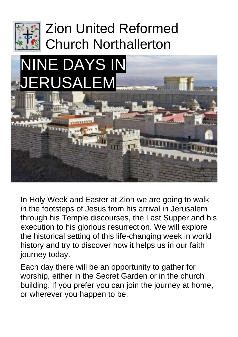

# Zion United Reformed Church Northallerton



In Holy Week and Easter at Zion we are going to walk in the footsteps of Jesus from his arrival in Jerusalem through his Temple discourses, the Last Supper and his execution to his glorious resurrection. We will explore the historical setting of this life-changing week in world history and try to discover how it helps us in our faith journey today.

Each day there will be an opportunity to gather for worship, either in the Secret Garden or in the church building. If you prefer you can join the journey at home, or wherever you happen to be.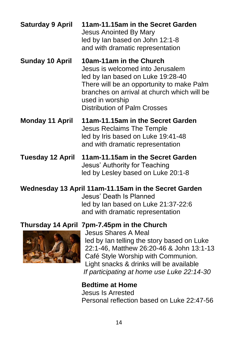| <b>Saturday 9 April</b> | 11am-11.15am in the Secret Garden<br><b>Jesus Anointed By Mary</b><br>led by lan based on John 12:1-8<br>and with dramatic representation                                                                                                              |
|-------------------------|--------------------------------------------------------------------------------------------------------------------------------------------------------------------------------------------------------------------------------------------------------|
| <b>Sunday 10 April</b>  | 10am-11am in the Church<br>Jesus is welcomed into Jerusalem<br>led by Ian based on Luke 19:28-40<br>There will be an opportunity to make Palm<br>branches on arrival at church which will be<br>used in worship<br><b>Distribution of Palm Crosses</b> |
| <b>Monday 11 April</b>  | 11am-11.15am in the Secret Garden<br>Jesus Reclaims The Temple<br>led by Iris based on Luke 19:41-48<br>and with dramatic representation                                                                                                               |
| <b>Tuesday 12 April</b> | 11am-11.15am in the Secret Garden<br>Jesus' Authority for Teaching                                                                                                                                                                                     |

### **Wednesday 13 April 11am-11.15am in the Secret Garden**

 Jesus' Death Is Planned led by Ian based on Luke 21:37-22:6 and with dramatic representation

led by Lesley based on Luke 20:1-8

### **Thursday 14 April 7pm-7.45pm in the Church**



Jesus Shares A Meal led by Ian telling the story based on Luke 22:1-46, Matthew 26:20-46 & John 13:1-13 Café Style Worship with Communion. Light snacks & drinks will be available *If participating at home use Luke 22:14-30*

### **Bedtime at Home**

 Jesus Is Arrested Personal reflection based on Luke 22:47-56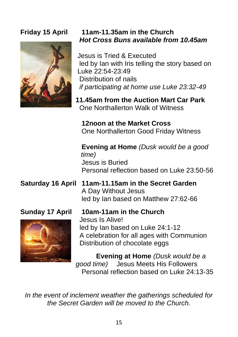

### **Friday 15 April 11am-11.35am in the Church** *Hot Cross Buns available from 10.45am*

Jesus is Tried & Executed led by Ian with Iris telling the story based on Luke 22:54-23:49 Distribution of nails *if participating at home use Luke 23:32-49*

**11.45am from the Auction Mart Car Park**  One Northallerton Walk of Witness

**12noon at the Market Cross** One Northallerton Good Friday Witness

 **Evening at Home** *(Dusk would be a good time)* Jesus is Buried Personal reflection based on Luke 23:50-56

### **Saturday 16 April 11am-11.15am in the Secret Garden** A Day Without Jesus led by Ian based on Matthew 27:62-66



**Sunday 17 April 10am-11am in the Church** Jesus Is Alive! led by Ian based on Luke 24:1-12 A celebration for all ages with Communion Distribution of chocolate eggs

> **Evening at Home** *(Dusk would be a good time)* Jesus Meets His Followers Personal reflection based on Luke 24:13-35

*In the event of inclement weather the gatherings scheduled for the Secret Garden will be moved to the Church.*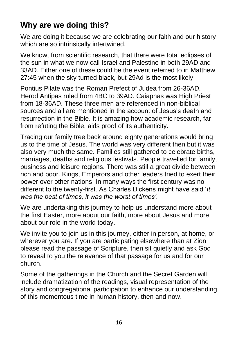### **Why are we doing this?**

We are doing it because we are celebrating our faith and our history which are so intrinsically intertwined.

We know, from scientific research, that there were total eclipses of the sun in what we now call Israel and Palestine in both 29AD and 33AD. Either one of these could be the event referred to in Matthew 27:45 when the sky turned black, but 29Ad is the most likely.

Pontius Pilate was the Roman Prefect of Judea from 26-36AD. Herod Antipas ruled from 4BC to 39AD. Caiaphas was High Priest from 18-36AD. These three men are referenced in non-biblical sources and all are mentioned in the account of Jesus's death and resurrection in the Bible. It is amazing how academic research, far from refuting the Bible, aids proof of its authenticity.

Tracing our family tree back around eighty generations would bring us to the time of Jesus. The world was very different then but it was also very much the same. Families still gathered to celebrate births, marriages, deaths and religious festivals. People travelled for family, business and leisure regions. There was still a great divide between rich and poor. Kings, Emperors and other leaders tried to exert their power over other nations. In many ways the first century was no different to the twenty-first. As Charles Dickens might have said '*It was the best of times, it was the worst of times'.* 

We are undertaking this journey to help us understand more about the first Easter, more about our faith, more about Jesus and more about our role in the world today.

We invite you to join us in this journey, either in person, at home, or wherever you are. If you are participating elsewhere than at Zion please read the passage of Scripture, then sit quietly and ask God to reveal to you the relevance of that passage for us and for our church.

Some of the gatherings in the Church and the Secret Garden will include dramatization of the readings, visual representation of the story and congregational participation to enhance our understanding of this momentous time in human history, then and now.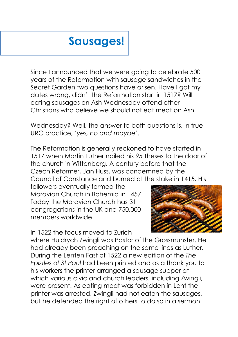# **Sausages!**

Since I announced that we were going to celebrate 500 years of the Reformation with sausage sandwiches in the Secret Garden two questions have arisen. Have I got my dates wrong, didn't the Reformation start in 1517? Will eating sausages on Ash Wednesday offend other Christians who believe we should not eat meat on Ash

Wednesday? Well, the answer to both questions is, in true URC practice, '*yes, no and maybe'*.

The Reformation is generally reckoned to have started in 1517 when Martin Luther nailed his 95 Theses to the door of the church in Wittenberg. A century before that the Czech Reformer, Jan Huss, was condemned by the Council of Constance and burned at the stake in 1415. His

followers eventually formed the Moravian Church in Bohemia in 1457. Today the Moravian Church has 31 congregations in the UK and 750,000 members worldwide.

In 1522 the focus moved to Zurich



where Huldrych Zwingli was Pastor of the Grossmunster. He had already been preaching on the same lines as Luther. During the Lenten Fast of 1522 a new edition of the *The Epistles of St Paul* had been printed and as a thank you to his workers the printer arranged a sausage supper at which various civic and church leaders, including Zwingli, were present. As eating meat was forbidden in Lent the printer was arrested. Zwingli had not eaten the sausages, but he defended the right of others to do so in a sermon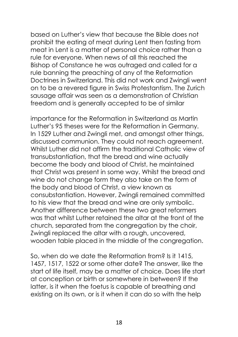based on Luther's view that because the Bible does not prohibit the eating of meat during Lent then fasting from meat in Lent is a matter of personal choice rather than a rule for everyone. When news of all this reached the Bishop of Constance he was outraged and called for a rule banning the preaching of any of the Reformation Doctrines in Switzerland. This did not work and Zwingli went on to be a revered figure in Swiss Protestantism. The Zurich sausage affair was seen as a demonstration of Christian freedom and is generally accepted to be of similar

importance for the Reformation in Switzerland as Martin Luther's 95 theses were for the Reformation in Germany. In 1529 Luther and Zwingli met, and amongst other things, discussed communion. They could not reach agreement. Whilst Luther did not affirm the traditional Catholic view of transubstantiation, that the bread and wine actually become the body and blood of Christ, he maintained that Christ was present in some way. Whilst the bread and wine do not change form they also take on the form of the body and blood of Christ, a view known as consubstantiation. However, Zwingli remained committed to his view that the bread and wine are only symbolic. Another difference between these two great reformers was that whilst Luther retained the altar at the front of the church, separated from the congregation by the choir, Zwingli replaced the altar with a rough, uncovered, wooden table placed in the middle of the congregation.

So, when do we date the Reformation from? Is it 1415, 1457, 1517, 1522 or some other date? The answer, like the start of life itself, may be a matter of choice. Does life start at conception or birth or somewhere in between? If the latter, is it when the foetus is capable of breathing and existing on its own, or is it when it can do so with the help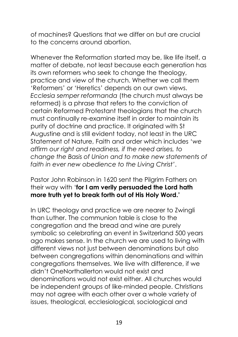of machines? Questions that we differ on but are crucial to the concerns around abortion.

Whenever the Reformation started may be, like life itself, a matter of debate, not least because each generation has its own reformers who seek to change the theology, practice and view of the church. Whether we call them 'Reformers' or 'Heretics' depends on our own views. *Ecclesia semper reformanda* (the church must always be reformed) is a phrase that refers to the conviction of certain Reformed Protestant theologians that the church must continually re-examine itself in order to maintain its purity of doctrine and practice. It originated with St Augustine and is still evident today, not least in the URC Statement of Nature, Faith and order which includes '*we affirm our right and readiness, if the need arises, to change the Basis of Union and to make new statements of faith in ever new obedience to the Living Christ'*.

### Pastor John Robinson in 1620 sent the Pilgrim Fathers on their way with '**for I am verily persuaded the Lord hath more truth yet to break forth out of His Holy Word.'**

In URC theology and practice we are nearer to Zwingli than Luther. The communion table is close to the congregation and the bread and wine are purely symbolic so celebrating an event in Switzerland 500 years ago makes sense. In the church we are used to living with different views not just between denominations but also between congregations within denominations and within congregations themselves. We live with difference, if we didn't OneNorthallerton would not exist and denominations would not exist either. All churches would be independent groups of like-minded people. Christians may not agree with each other over a whole variety of issues, theological, ecclesiological, sociological and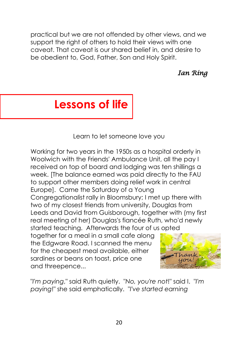practical but we are not offended by other views, and we support the right of others to hold their views with one caveat. That caveat is our shared belief in, and desire to be obedient to, God, Father, Son and Holy Spirit.

*Ian Ring* 

# **Lessons of life**

Learn to let someone love you

Working for two years in the 1950s as a hospital orderly in Woolwich with the Friends' Ambulance Unit, all the pay I received on top of board and lodging was ten shillings a week. [The balance earned was paid directly to the FAU to support other members doing relief work in central Europe]. Came the Saturday of a Young Congregationalist rally in Bloomsbury; I met up there with two of my closest friends from university, Douglas from Leeds and David from Guisborough, together with (my first real meeting of her) Douglas's fiancée Ruth, who'd newly started teaching. Afterwards the four of us opted

together for a meal in a small cafe along the Edgware Road. I scanned the menu for the cheapest meal available, either sardines or beans on toast, price one and threepence...



"*I'm paying*," said Ruth quietly. "*No, you're not*!" said I. "*I'm paying*!" she said emphatically. "*I've started earning*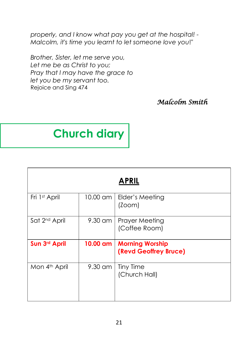*properly, and I know what pay you get at the hospital! - Malcolm, it's time you learnt to let someone love you*!"

*Brother, Sister, let me serve you, Let me be as Christ to you; Pray that I may have the grace to let you be my servant too.*  Rejoice and Sing 474

*Malcolm Smith* 

# **Church diary**

| <b>APRIL</b>              |          |                                                 |
|---------------------------|----------|-------------------------------------------------|
| Fri 1st April             | 10.00 am | Elder's Meeting<br>(200m)                       |
| Sat 2 <sup>nd</sup> April |          | 9.30 am   Prayer Meeting<br>(Coffee Room)       |
| Sun 3rd April             | 10.00 am | <b>Morning Worship</b><br>(Revd Geoffrey Bruce) |
| Mon 4 <sup>th</sup> April | 9.30 am  | <b>Tiny Time</b><br>(Church Hall)               |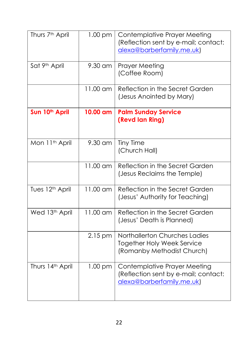| Thurs 7 <sup>th</sup> April | $1.00$ pm  | Contemplative Prayer Meeting<br>(Reflection sent by e-mail; contact:<br>alexa@barberfamily.me.uk) |  |
|-----------------------------|------------|---------------------------------------------------------------------------------------------------|--|
| Sat 9th April               | 9.30 am    | <b>Prayer Meeting</b><br>(Coffee Room)                                                            |  |
|                             | $11.00$ am | Reflection in the Secret Garden<br>(Jesus Anointed by Mary)                                       |  |
| Sun 10 <sup>th</sup> April  | 10.00 am   | <b>Palm Sunday Service</b><br>(Revd lan Ring)                                                     |  |
| Mon 11 <sup>th</sup> April  | 9.30 am    | <b>Tiny Time</b><br>(Church Hall)                                                                 |  |
|                             | 11.00 am   | Reflection in the Secret Garden<br>(Jesus Reclaims the Temple)                                    |  |
| Tues 12 <sup>th</sup> April | 11.00 am   | Reflection in the Secret Garden<br>(Jesus' Authority for Teaching)                                |  |
| Wed 13th April              | 11.00 am   | Reflection in the Secret Garden<br>(Jesus' Death is Planned)                                      |  |
|                             | $2.15$ pm  | Northallerton Churches Ladies<br><b>Together Holy Week Service</b><br>(Romanby Methodist Church)  |  |
| Thurs 14th April            | $1.00$ pm  | Contemplative Prayer Meeting<br>(Reflection sent by e-mail; contact:<br>alexa@barberfamily.me.uk) |  |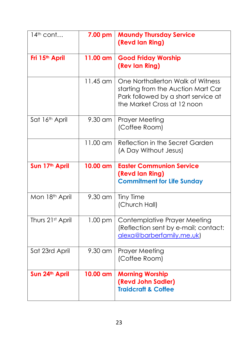| $14th$ cont                | 7.00 pm  | <b>Maundy Thursday Service</b><br>(Revd lan Ring)                                                                                             |  |
|----------------------------|----------|-----------------------------------------------------------------------------------------------------------------------------------------------|--|
| Fri 15 <sup>th</sup> April | 11.00 am | <b>Good Friday Worship</b><br>(Rev lan Ring)                                                                                                  |  |
|                            | 11.45 am | One Northallerton Walk of Witness<br>starting from the Auction Mart Car<br>Park followed by a short service at<br>the Market Cross at 12 noon |  |
| Sat 16th April             | 9.30 am  | <b>Prayer Meeting</b><br>(Coffee Room)                                                                                                        |  |
|                            | 11.00 am | Reflection in the Secret Garden<br>(A Day Without Jesus)                                                                                      |  |
| Sun 17th April             | 10.00 am | <b>Easter Communion Service</b><br>(Revd lan Ring)<br><b>Commitment for Life Sunday</b>                                                       |  |
| Mon 18th April             | 9.30 am  | <b>Tiny Time</b><br>(Church Hall)                                                                                                             |  |
| Thurs 21st April           | 1.00 pm  | <b>Contemplative Prayer Meeting</b><br>(Reflection sent by e-mail; contact:<br>alexa@barberfamily.me.uk)                                      |  |
| Sat 23rd April             | 9.30 am  | Prayer Meeting<br>(Coffee Room)                                                                                                               |  |
| Sun 24th April             | 10.00 am | <b>Morning Worship</b><br>(Revd John Sadler)<br><b>Traidcraft &amp; Coffee</b>                                                                |  |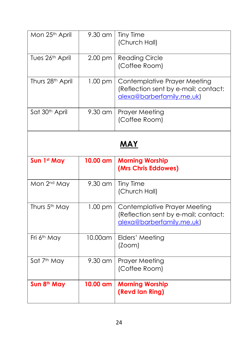| Mon 25 <sup>th</sup> April | $9.30$ am | <b>Tiny Time</b><br>(Church Hall)                                                                        |
|----------------------------|-----------|----------------------------------------------------------------------------------------------------------|
| Tues 26th April            | 2.00 pm   | <b>Reading Circle</b><br>(Coffee Room)                                                                   |
| Thurs 28th April           | $1.00$ pm | <b>Contemplative Prayer Meeting</b><br>(Reflection sent by e-mail; contact:<br>alexa@barberfamily.me.uk) |
| Sat 30 <sup>th</sup> April | 9.30 am   | Prayer Meeting<br>(Coffee Room)                                                                          |
|                            |           | <b>MAY</b>                                                                                               |
| Sun 1st May                | 10.00 am  | <b>Morning Worship</b><br>(Mrs Chris Eddowes)                                                            |
| Mon 2 <sup>nd</sup> May    | 9.30 am   | <b>Tiny Time</b>                                                                                         |
|                            |           | (Church Hall)                                                                                            |
| Thurs 5 <sup>th</sup> May  | 1.00 pm   | <b>Contemplative Prayer Meeting</b><br>(Reflection sent by e-mail; contact:<br>alexa@barberfamily.me.uk) |
| Fri 6 <sup>th</sup> May    | 10.00am   | Elders' Meeting<br>(200m)                                                                                |
| Sat 7th May                | 9.30 am   | <b>Prayer Meeting</b><br>(Coffee Room)                                                                   |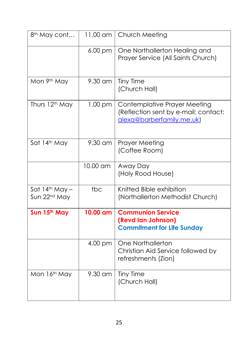| 8 <sup>th</sup> May cont                     | 11.00 am          | Church Meeting                                                                                           |  |
|----------------------------------------------|-------------------|----------------------------------------------------------------------------------------------------------|--|
|                                              | 6.00 pm           | One Northallerton Healing and<br>Prayer Service (All Saints Church)                                      |  |
| Mon 9th May                                  | 9.30 am           | <b>Tiny Time</b><br>(Church Hall)                                                                        |  |
| Thurs 12th May                               | $1.00$ pm         | <b>Contemplative Prayer Meeting</b><br>(Reflection sent by e-mail; contact:<br>alexa@barberfamily.me.uk) |  |
| Sat 14th May                                 | $9.30$ am         | <b>Prayer Meeting</b><br>(Coffee Room)                                                                   |  |
|                                              | 10.00 am          | Away Day<br>(Holy Rood House)                                                                            |  |
| Sat $14th$ May -<br>Sun 22 <sup>nd</sup> May | tbc               | Knitted Bible exhibition<br>(Northallerton Methodist Church)                                             |  |
| Sun 15th May                                 | 10.00 am          | <b>Communion Service</b><br>(Revd lan Johnson)<br><b>Commitment for Life Sunday</b>                      |  |
|                                              | 4.00 pm           | One Northallerton<br>Christian Aid Service followed by<br>refreshments (Zion)                            |  |
| Mon 16th May                                 | $9.30 \text{ cm}$ | <b>Tiny Time</b><br>(Church Hall)                                                                        |  |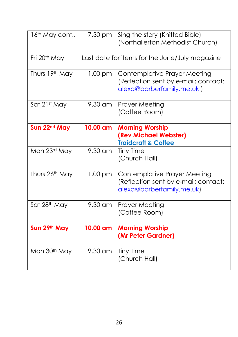| 16 <sup>th</sup> May cont | 7.30 pm                                        | Sing the story (Knitted Bible)<br>(Northallerton Methodist Church)                                       |
|---------------------------|------------------------------------------------|----------------------------------------------------------------------------------------------------------|
| Fri 20 <sup>th</sup> May  | Last date for items for the June/July magazine |                                                                                                          |
| Thurs 19th May            | $1.00 \text{ pm}$                              | Contemplative Prayer Meeting<br>(Reflection sent by e-mail; contact:<br>alexa@barberfamily.me.uk)        |
| Sat 21st May              | $9.30$ am                                      | Prayer Meeting<br>(Coffee Room)                                                                          |
| Sun 22 <sup>nd</sup> May  | 10.00 am                                       | <b>Morning Worship</b><br>(Rev Michael Webster)<br><b>Traidcraft &amp; Coffee</b>                        |
| Mon 23rd May              | 9.30 am                                        | <b>Tiny Time</b><br>(Church Hall)                                                                        |
| Thurs 26th May            | $1.00$ pm                                      | <b>Contemplative Prayer Meeting</b><br>(Reflection sent by e-mail; contact:<br>alexa@barberfamily.me.uk) |
| Sat 28th May              | $9.30$ am                                      | <b>Prayer Meeting</b><br>(Coffee Room)                                                                   |
| Sun 29th May              | 10.00 am                                       | <b>Morning Worship</b><br>(Mr Peter Gardner)                                                             |
| Mon 30 <sup>th</sup> May  | 9.30 am                                        | <b>Tiny Time</b><br>(Church Hall)                                                                        |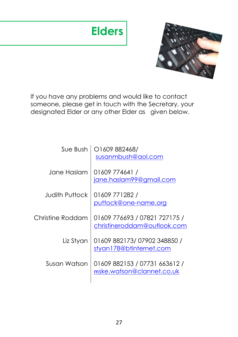# **Elders**



If you have any problems and would like to contact someone, please get in touch with the Secretary, your designated Elder or any other Elder as given below.

| Sue Bush         | O1609882468/<br>susanmbush@aol.com                           |
|------------------|--------------------------------------------------------------|
| Jane Haslam      | 01609 774641 /<br>jane.haslam99@gmail.com                    |
| Judith Puttock.  | 01609 771282 /<br>puttock@one-name.org                       |
| Christine Roddam | 01609 776693 / 07821 727175 /<br>christineroddam@outlook.com |
| Liz Styan        | 01609 882173/07902 348850 /<br>styan178@btinternet.com       |
| Susan Watson     | 01609 882153 / 07731 663612 /<br>mske.watson@clannet.co.uk   |